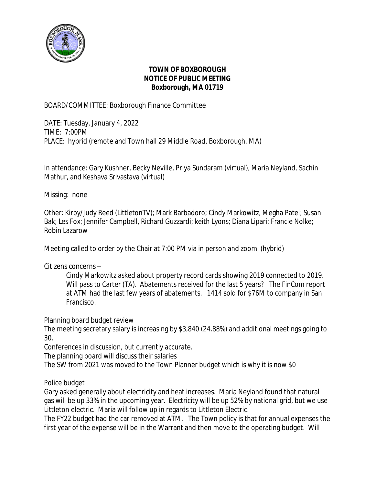

### **TOWN OF BOXBOROUGH NOTICE OF PUBLIC MEETING Boxborough, MA 01719**

BOARD/COMMITTEE: Boxborough Finance Committee

DATE: Tuesday, January 4, 2022 TIME: 7:00PM PLACE: hybrid (remote and Town hall 29 Middle Road, Boxborough, MA)

In attendance: Gary Kushner, Becky Neville, Priya Sundaram (virtual), Maria Neyland, Sachin Mathur, and Keshava Srivastava (virtual)

Missing: none

Other: Kirby/Judy Reed (LittletonTV); Mark Barbadoro; Cindy Markowitz, Megha Patel; Susan Bak; Les Fox; Jennifer Campbell, Richard Guzzardi; keith Lyons; Diana Lipari; Francie Nolke; Robin Lazarow

Meeting called to order by the Chair at 7:00 PM via in person and zoom (hybrid)

Citizens concerns –

Cindy Markowitz asked about property record cards showing 2019 connected to 2019. Will pass to Carter (TA). Abatements received for the last 5 years? The FinCom report at ATM had the last few years of abatements. 1414 sold for \$76M to company in San Francisco.

Planning board budget review

The meeting secretary salary is increasing by \$3,840 (24.88%) and additional meetings going to 30.

Conferences in discussion, but currently accurate.

The planning board will discuss their salaries

The SW from 2021 was moved to the Town Planner budget which is why it is now \$0

Police budget

Gary asked generally about electricity and heat increases. Maria Neyland found that natural gas will be up 33% in the upcoming year. Electricity will be up 52% by national grid, but we use Littleton electric. Maria will follow up in regards to Littleton Electric.

The FY22 budget had the car removed at ATM. The Town policy is that for annual expenses the first year of the expense will be in the Warrant and then move to the operating budget. Will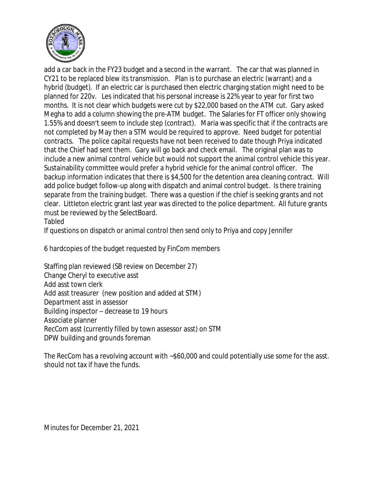

add a car back in the FY23 budget and a second in the warrant. The car that was planned in CY21 to be replaced blew its transmission. Plan is to purchase an electric (warrant) and a hybrid (budget). If an electric car is purchased then electric charging station might need to be planned for 220v. Les indicated that his personal increase is 22% year to year for first two months. It is not clear which budgets were cut by \$22,000 based on the ATM cut. Gary asked Megha to add a column showing the pre-ATM budget. The Salaries for FT officer only showing 1.55% and doesn't seem to include step (contract). Maria was specific that if the contracts are not completed by May then a STM would be required to approve. Need budget for potential contracts. The police capital requests have not been received to date though Priya indicated that the Chief had sent them. Gary will go back and check email. The original plan was to include a new animal control vehicle but would not support the animal control vehicle this year. Sustainability committee would prefer a hybrid vehicle for the animal control officer. The backup information indicates that there is \$4,500 for the detention area cleaning contract. Will add police budget follow-up along with dispatch and animal control budget. Is there training separate from the training budget. There was a question if the chief is seeking grants and not clear. Littleton electric grant last year was directed to the police department. All future grants must be reviewed by the SelectBoard.

#### Tabled

If questions on dispatch or animal control then send only to Priya and copy Jennifer

6 hardcopies of the budget requested by FinCom members

Staffing plan reviewed (SB review on December 27) Change Cheryl to executive asst Add asst town clerk Add asst treasurer (new position and added at STM) Department asst in assessor Building inspector – decrease to 19 hours Associate planner RecCom asst (currently filled by town assessor asst) on STM DPW building and grounds foreman

The RecCom has a revolving account with ~\$60,000 and could potentially use some for the asst. should not tax if have the funds.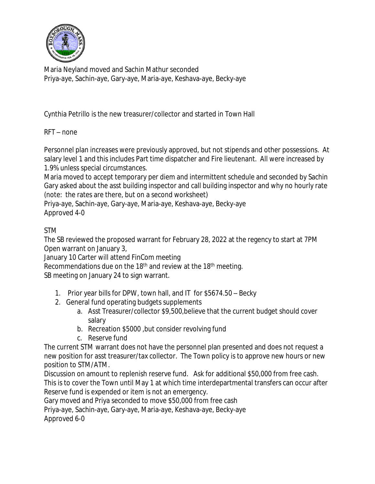

Maria Neyland moved and Sachin Mathur seconded Priya-aye, Sachin-aye, Gary-aye, Maria-aye, Keshava-aye, Becky-aye

Cynthia Petrillo is the new treasurer/collector and started in Town Hall

# RFT – none

Personnel plan increases were previously approved, but not stipends and other possessions. At salary level 1 and this includes Part time dispatcher and Fire lieutenant. All were increased by 1.9% unless special circumstances.

Maria moved to accept temporary per diem and intermittent schedule and seconded by Sachin Gary asked about the asst building inspector and call building inspector and why no hourly rate (note: the rates are there, but on a second worksheet)

Priya-aye, Sachin-aye, Gary-aye, Maria-aye, Keshava-aye, Becky-aye Approved 4-0

# STM

The SB reviewed the proposed warrant for February 28, 2022 at the regency to start at 7PM Open warrant on January 3,

January 10 Carter will attend FinCom meeting

Recommendations due on the 18<sup>th</sup> and review at the 18<sup>th</sup> meeting.

SB meeting on January 24 to sign warrant.

- 1. Prior year bills for DPW, town hall, and IT for \$5674.50 Becky
- 2. General fund operating budgets supplements
	- a. Asst Treasurer/collector \$9,500,believe that the current budget should cover salary
	- b. Recreation \$5000 ,but consider revolving fund
	- c. Reserve fund

The current STM warrant does not have the personnel plan presented and does not request a new position for asst treasurer/tax collector. The Town policy is to approve new hours or new position to STM/ATM.

Discussion on amount to replenish reserve fund. Ask for additional \$50,000 from free cash. This is to cover the Town until May 1 at which time interdepartmental transfers can occur after Reserve fund is expended or item is not an emergency.

Gary moved and Priya seconded to move \$50,000 from free cash

Priya-aye, Sachin-aye, Gary-aye, Maria-aye, Keshava-aye, Becky-aye

Approved 6-0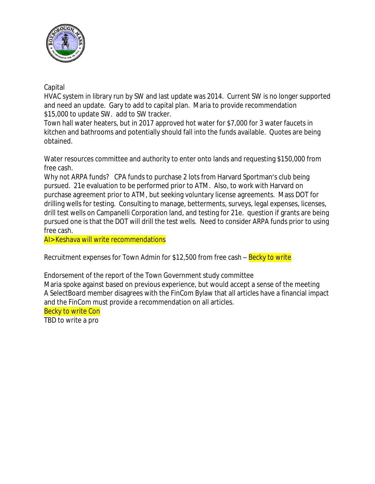

## Capital

HVAC system in library run by SW and last update was 2014. Current SW is no longer supported and need an update. Gary to add to capital plan. Maria to provide recommendation \$15,000 to update SW. add to SW tracker.

Town hall water heaters, but in 2017 approved hot water for \$7,000 for 3 water faucets in kitchen and bathrooms and potentially should fall into the funds available. Quotes are being obtained.

Water resources committee and authority to enter onto lands and requesting \$150,000 from free cash.

Why not ARPA funds? CPA funds to purchase 2 lots from Harvard Sportman's club being pursued. 21e evaluation to be performed prior to ATM. Also, to work with Harvard on purchase agreement prior to ATM, but seeking voluntary license agreements. Mass DOT for drilling wells for testing. Consulting to manage, betterments, surveys, legal expenses, licenses, drill test wells on Campanelli Corporation land, and testing for 21e. question if grants are being pursued one is that the DOT will drill the test wells. Need to consider ARPA funds prior to using free cash.

AI> Keshava will write recommendations

Recruitment expenses for Town Admin for \$12,500 from free cash – Becky to write

Endorsement of the report of the Town Government study committee Maria spoke against based on previous experience, but would accept a sense of the meeting A SelectBoard member disagrees with the FinCom Bylaw that all articles have a financial impact and the FinCom must provide a recommendation on all articles.

Becky to write Con

TBD to write a pro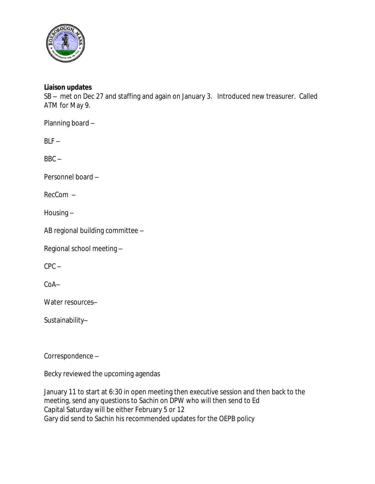

### **Liaison updates**

SB – met on Dec 27 and staffing and again on January 3. Introduced new treasurer. Called ATM for May 9.

Planning board –

 $BLF -$ 

 $BBC -$ 

Personnel board –

RecCom –

Housing –

AB regional building committee –

Regional school meeting –

 $CPC -$ 

CoA–

Water resources–

Sustainability–

Correspondence –

Becky reviewed the upcoming agendas

January 11 to start at 6:30 in open meeting then executive session and then back to the meeting, send any questions to Sachin on DPW who will then send to Ed Capital Saturday will be either February 5 or 12 Gary did send to Sachin his recommended updates for the OEPB policy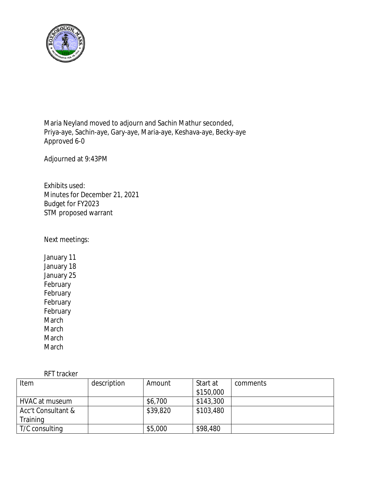

Maria Neyland moved to adjourn and Sachin Mathur seconded, Priya-aye, Sachin-aye, Gary-aye, Maria-aye, Keshava-aye, Becky-aye Approved 6-0

Adjourned at 9:43PM

Exhibits used: Minutes for December 21, 2021 Budget for FY2023 STM proposed warrant

Next meetings:

January 11 January 18 January 25 February February February February March March March March

RFT tracker

| Item               | description | Amount   | Start at  | comments |
|--------------------|-------------|----------|-----------|----------|
|                    |             |          | \$150,000 |          |
| HVAC at museum     |             | \$6,700  | \$143,300 |          |
| Acc't Consultant & |             | \$39,820 | \$103,480 |          |
| Training           |             |          |           |          |
| T/C consulting     |             | \$5,000  | \$98,480  |          |